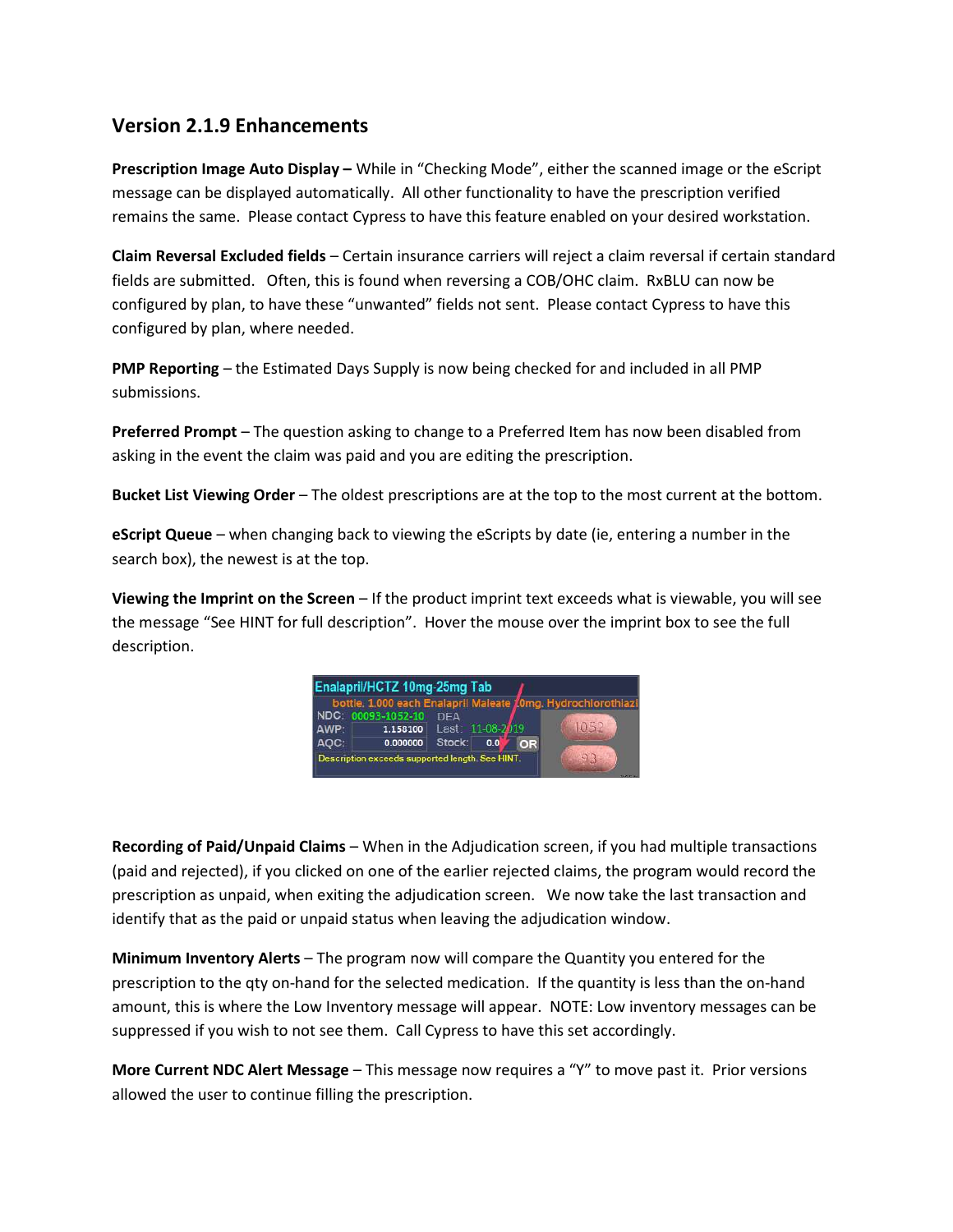## Version 2.1.9 Enhancements

Prescription Image Auto Display – While in "Checking Mode", either the scanned image or the eScript message can be displayed automatically. All other functionality to have the prescription verified remains the same. Please contact Cypress to have this feature enabled on your desired workstation.

Claim Reversal Excluded fields – Certain insurance carriers will reject a claim reversal if certain standard fields are submitted. Often, this is found when reversing a COB/OHC claim. RxBLU can now be configured by plan, to have these "unwanted" fields not sent. Please contact Cypress to have this configured by plan, where needed.

PMP Reporting – the Estimated Days Supply is now being checked for and included in all PMP submissions.

Preferred Prompt - The question asking to change to a Preferred Item has now been disabled from asking in the event the claim was paid and you are editing the prescription.

Bucket List Viewing Order – The oldest prescriptions are at the top to the most current at the bottom.

**eScript Queue** – when changing back to viewing the eScripts by date (ie, entering a number in the search box), the newest is at the top.

Viewing the Imprint on the Screen – If the product imprint text exceeds what is viewable, you will see the message "See HINT for full description". Hover the mouse over the imprint box to see the full description.

|      |                    |            |                  |    | bottle. 1.000 each Enalapril Maleate 10mg. Hydrochlorothiazi |
|------|--------------------|------------|------------------|----|--------------------------------------------------------------|
|      | NDC: 00093-1052-10 | <b>DEA</b> |                  |    |                                                              |
| AWP: | 1.158100           |            | Last: 11-08-2019 |    | 1052                                                         |
| AOC: | 0.000000           | Stock:     | 0.0              | OR |                                                              |

Recording of Paid/Unpaid Claims – When in the Adjudication screen, if you had multiple transactions (paid and rejected), if you clicked on one of the earlier rejected claims, the program would record the prescription as unpaid, when exiting the adjudication screen. We now take the last transaction and identify that as the paid or unpaid status when leaving the adjudication window.

Minimum Inventory Alerts – The program now will compare the Quantity you entered for the prescription to the qty on-hand for the selected medication. If the quantity is less than the on-hand amount, this is where the Low Inventory message will appear. NOTE: Low inventory messages can be suppressed if you wish to not see them. Call Cypress to have this set accordingly.

More Current NDC Alert Message – This message now requires a "Y" to move past it. Prior versions allowed the user to continue filling the prescription.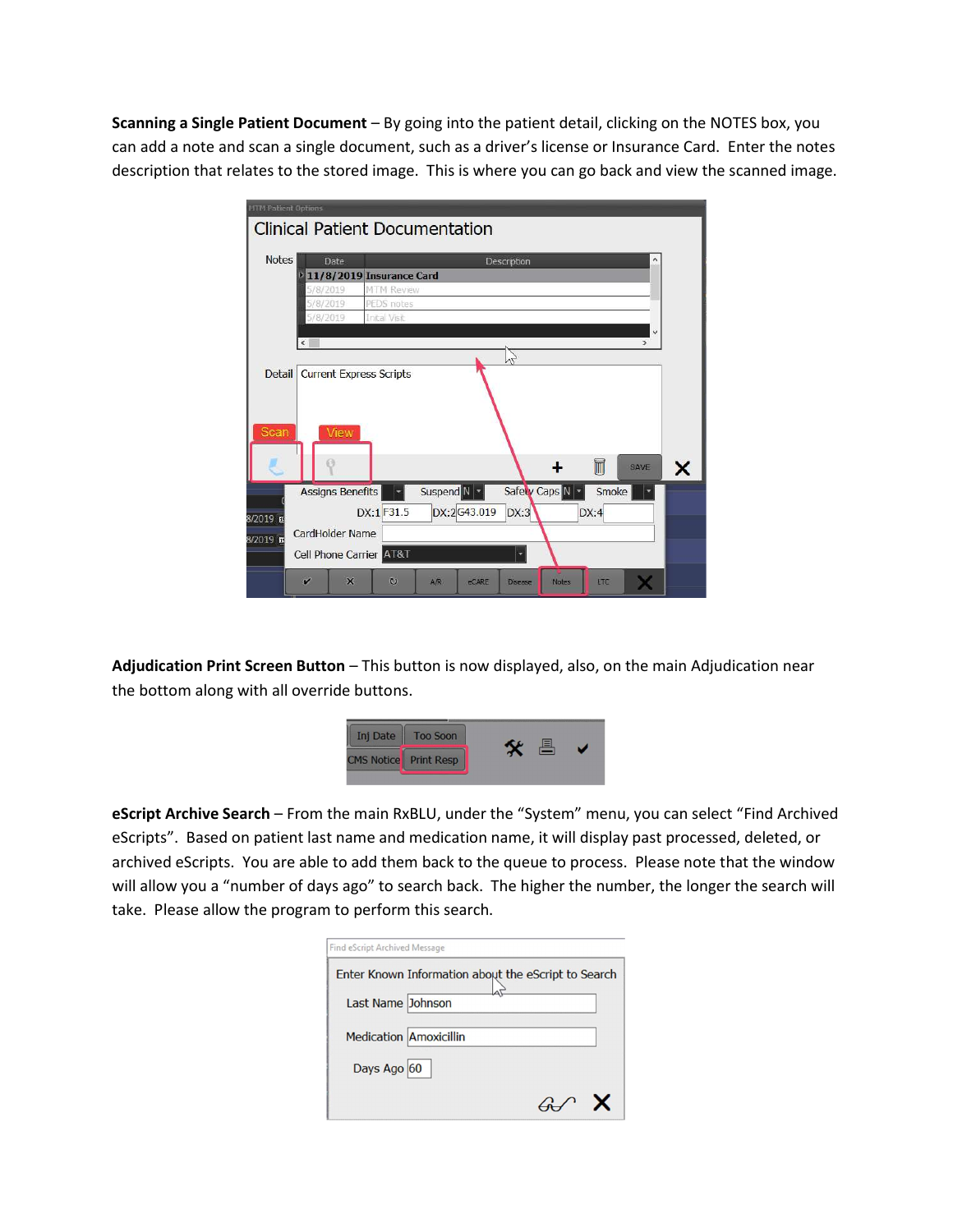Scanning a Single Patient Document – By going into the patient detail, clicking on the NOTES box, you can add a note and scan a single document, such as a driver's license or Insurance Card. Enter the notes description that relates to the stored image. This is where you can go back and view the scanned image.

| <b>MTM Patient Options</b> |                              |                                |                                       |                         |            |               |  |  |
|----------------------------|------------------------------|--------------------------------|---------------------------------------|-------------------------|------------|---------------|--|--|
|                            |                              |                                | <b>Clinical Patient Documentation</b> |                         |            |               |  |  |
|                            |                              |                                |                                       |                         |            |               |  |  |
| <b>Notes</b>               | Date                         |                                |                                       | Description             |            | ۸             |  |  |
|                            |                              | 11/8/2019 Insurance Card       |                                       |                         |            |               |  |  |
|                            | 5/8/2019                     | MTM Review                     |                                       |                         |            |               |  |  |
|                            | 5/8/2019                     | PEDS notes                     |                                       |                         |            |               |  |  |
|                            | 5/8/2019<br>Inital Visit     |                                |                                       |                         |            |               |  |  |
|                            | $\left\langle \right\rangle$ |                                |                                       |                         |            | $\rightarrow$ |  |  |
|                            |                              |                                |                                       |                         |            |               |  |  |
| <b>Detail</b>              |                              | <b>Current Express Scripts</b> |                                       |                         |            |               |  |  |
|                            |                              |                                |                                       |                         |            |               |  |  |
|                            |                              |                                |                                       |                         |            |               |  |  |
|                            |                              |                                |                                       |                         |            |               |  |  |
| Scan                       | View                         |                                |                                       |                         |            |               |  |  |
|                            |                              |                                |                                       |                         |            |               |  |  |
|                            |                              |                                |                                       |                         | ī          | SAVE          |  |  |
|                            | <b>Assigns Benefits</b>      |                                | Suspend N                             | Safety Caps N           | Smoke      |               |  |  |
| $8/2019$ m                 |                              | DX:1 F31.5                     | DX:2G43.019                           | DX:3                    | DX:4       |               |  |  |
| $8/2019$ m                 | CardHolder Name              |                                |                                       |                         |            |               |  |  |
|                            |                              |                                |                                       |                         |            |               |  |  |
|                            | Cell Phone Carrier AT&T      |                                |                                       |                         |            |               |  |  |
|                            | $\mathbf x$<br>Ù             | $\omega$                       | AR<br><b>eCARE</b>                    | <b>Notes</b><br>Disease | <b>LTC</b> |               |  |  |

Adjudication Print Screen Button - This button is now displayed, also, on the main Adjudication near the bottom along with all override buttons.



eScript Archive Search – From the main RxBLU, under the "System" menu, you can select "Find Archived eScripts". Based on patient last name and medication name, it will display past processed, deleted, or archived eScripts. You are able to add them back to the queue to process. Please note that the window will allow you a "number of days ago" to search back. The higher the number, the longer the search will take. Please allow the program to perform this search.

| Find eScript Archived Message                       |  |
|-----------------------------------------------------|--|
| Enter Known Information about the eScript to Search |  |
| Last Name Johnson                                   |  |
| <b>Medication Amoxicillin</b>                       |  |
| Days Ago 60                                         |  |
|                                                     |  |